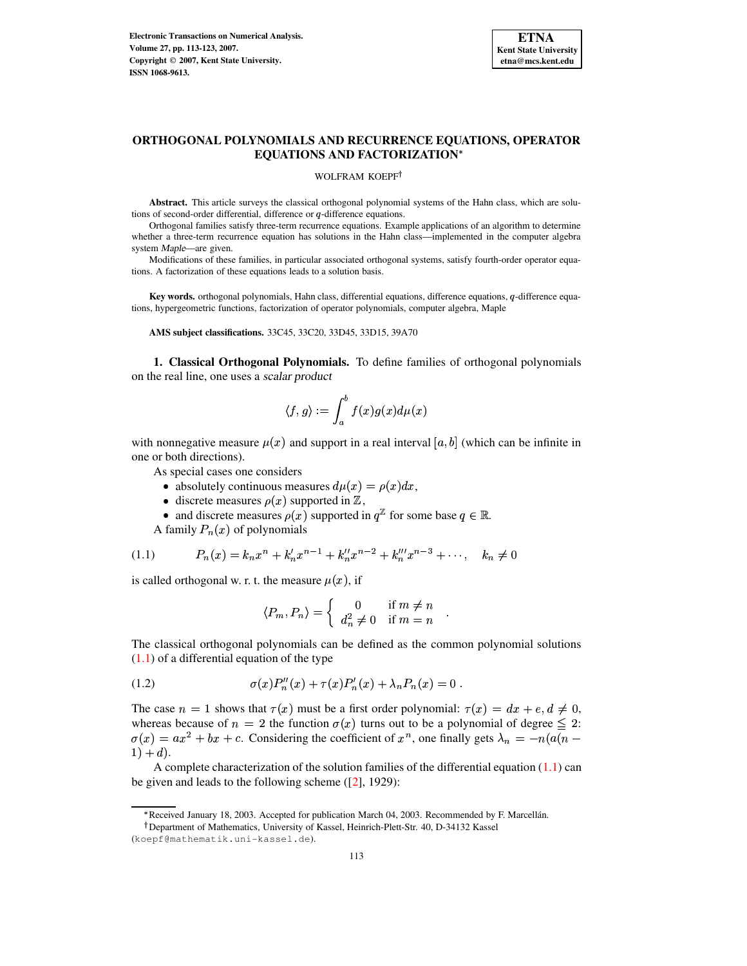

# **ORTHOGONAL POLYNOMIALS AND RECURRENCE EQUATIONS, OPERATOR EQUATIONS AND FACTORIZATION**

### WOLFRAM KOEPF<sup>†</sup>

**Abstract.** This article surveys the classical orthogonal polynomial systems of the Hahn class, which are solutions of second-order differential, difference or  $q$ -difference equations.

Orthogonal families satisfy three-term recurrence equations. Example applications of an algorithm to determine whether a three-term recurrence equation has solutions in the Hahn class—implemented in the computer algebra system Maple—are given.

Modifications of these families, in particular associated orthogonal systems, satisfy fourth-order operator equations. A factorization of these equations leads to a solution basis.

Key words. orthogonal polynomials, Hahn class, differential equations, difference equations, q-difference equations, hypergeometric functions, factorization of operator polynomials, computer algebra, Maple

**AMS subject classifications.** 33C45, 33C20, 33D45, 33D15, 39A70

**1. Classical Orthogonal Polynomials.** To define families of orthogonal polynomials on the real line, one uses a scalar product

$$
\langle f,g\rangle:=\int_a^b f(x)g(x)d\mu(x)
$$

with nonnegative measure  $\mu(x)$  and support in a real interval [a, b] (which can be infinite in one or both directions).

As special cases one considers

- absolutely continuous measures  $d\mu(x) = \rho(x)dx$ ,
- discrete measures  $\rho(x)$  supported in  $\mathbb{Z}$ ,
- and discrete measures  $\rho(x)$  supported in  $q^2$  for some base  $q \in \mathbb{R}$ .

A family  $P_n(x)$  of polynomials

<span id="page-0-0"></span>
$$
(1.1) \tP_n(x) = k_n x^n + k'_n x^{n-1} + k''_n x^{n-2} + k'''_n x^{n-3} + \cdots, \quad k_n \neq 0
$$

is called orthogonal w. r. t. the measure  $\mu(x)$ , if

$$
\langle P_m, P_n \rangle = \begin{cases} 0 & \text{if } m \neq n \\ d_n^2 \neq 0 & \text{if } m = n \end{cases}.
$$

The classical orthogonal polynomials can be defined as the common polynomial solutions  $(1.1)$  of a differential equation of the type

(1.2) 
$$
\sigma(x)P_n''(x) + \tau(x)P_n'(x) + \lambda_n P_n(x) = 0.
$$

The case  $n=1$  shows that  $\tau(x)$  must be a first order polynomial:  $\tau(x) = dx + e, d \neq 0$ , whereas because of  $n = 2$  the function  $\sigma(x)$  turns out to be a polynomial of degree  $\leq 2$ :  $\sigma(x) = ax^2 + bx + c$ . Considering the coefficient of  $x^n$ , one finally gets  $\lambda_n = -n(a(n (1) + d$ .

A complete characterization of the solution families of the differential equation  $(1.1)$  can be given and leads to the following scheme ([\[2\]](#page-10-0), 1929):

<sup>\*</sup> Received January 18, 2003. Accepted for publication March 04, 2003. Recommended by F. Marcellán.

Department of Mathematics, University of Kassel, Heinrich-Plett-Str. 40, D-34132 Kassel

<sup>(</sup>koepf@mathematik.uni-kassel.de).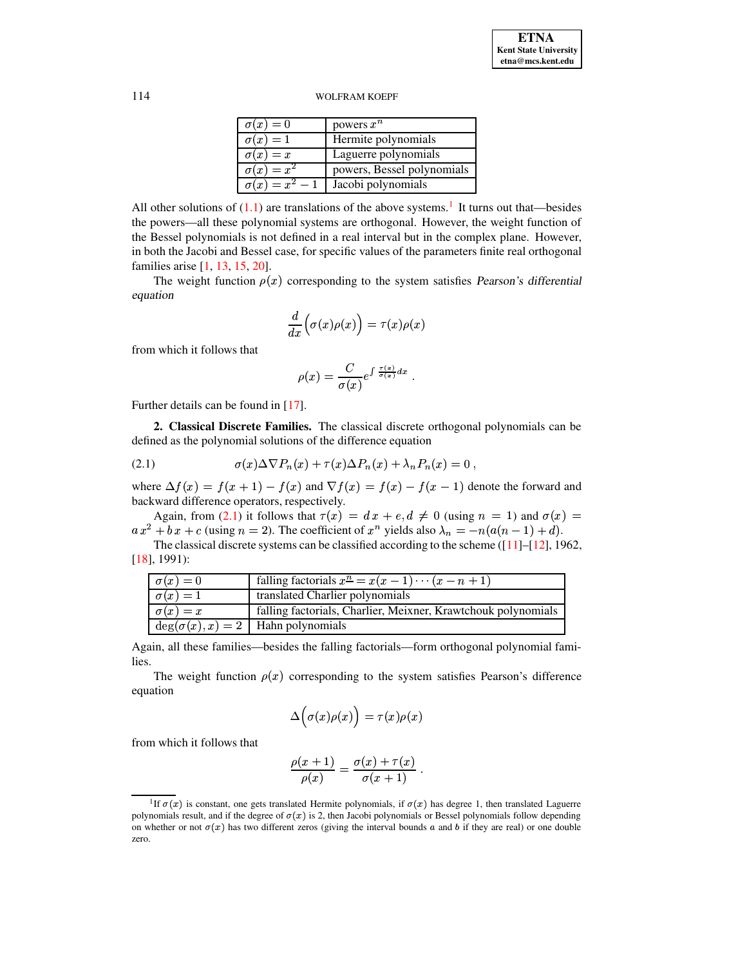| $\sigma(x)=0$         | powers $x^n$               |
|-----------------------|----------------------------|
| $\sigma(x)=1$         | Hermite polynomials        |
| $\sigma(x)=x$         | Laguerre polynomials       |
| $\sigma(x) = x^2$     | powers, Bessel polynomials |
| $\sigma(x) = x^2 - 1$ | Jacobi polynomials         |

All other solutions of  $(1.1)$  are translations of the above systems.<sup>[1](#page-1-0)</sup> It turns out that—besides the powers—all these polynomial systems are orthogonal. However, the weight function of the Bessel polynomials is not defined in a real interval but in the complex plane. However, in both the Jacobi and Bessel case, for specific values of the parameters finite real orthogonal families arise [\[1,](#page-10-1) [13,](#page-10-2) [15,](#page-10-3) [20\]](#page-10-4).

The weight function  $\rho(x)$  corresponding to the system satisfies Pearson's differential equation

$$
\frac{d}{dx}\Big(\sigma(x)\rho(x)\Big)=\tau(x)\rho(x)
$$

from which it follows that

$$
\rho(x) = \frac{C}{\sigma(x)} e^{\int \frac{\tau(x)}{\sigma(x)} dx}.
$$

Further details can be found in [\[17\]](#page-10-5).

**2. Classical Discrete Families.** The classical discrete orthogonal polynomials can be defined as the polynomial solutions of the difference equation

<span id="page-1-1"></span>(2.1) 
$$
\sigma(x)\Delta \nabla P_n(x) + \tau(x)\Delta P_n(x) + \lambda_n P_n(x) = 0,
$$

where  $\Delta f(x) = f(x+1) - f(x)$  and  $\nabla f(x) = f(x) - f(x-1)$  denote the forward and backward difference operators, respectively.

Again, from [\(2.1\)](#page-1-1) it follows that  $\tau(x) = dx + e, d \neq 0$  (using  $n = 1$ ) and  $\sigma(x) =$  $a x^2 + b x + c$  (using  $n = 2$ ). The coefficient of  $x^n$  yields also  $\lambda_n = -n(a(n-1) + d)$ .

The classical discrete systems can be classified according to the scheme ([\[11\]](#page-10-6)–[\[12\]](#page-10-7), 1962, [\[18\]](#page-10-8), 1991):

| $\sigma(x)=0$   | falling factorials $x^n = x(x - 1) \cdots (x - n + 1)$        |
|-----------------|---------------------------------------------------------------|
| $\sigma(x)=1$   | translated Charlier polynomials                               |
| $\sigma(x) = x$ | falling factorials, Charlier, Meixner, Krawtchouk polynomials |
|                 | $deg(\sigma(x), x) = 2$   Hahn polynomials                    |

Again, all these families—besides the falling factorials—form orthogonal polynomial families.

The weight function  $\rho(x)$  corresponding to the system satisfies Pearson's difference equation

$$
\Delta\Big(\sigma(x)\rho(x)\Big)=\tau(x)\rho(x)
$$

from which it follows that

$$
\frac{\rho(x+1)}{\rho(x)} = \frac{\sigma(x) + \tau(x)}{\sigma(x+1)}.
$$

<span id="page-1-0"></span><sup>&</sup>lt;sup>1</sup>If  $\sigma(x)$  is constant, one gets translated Hermite polynomials, if  $\sigma(x)$  has degree 1, then translated Laguerre polynomials result, and if the degree of  $\sigma(x)$  is 2, then Jacobi polynomials or Bessel polynomials follow depending on whether or not  $\sigma(x)$  has two different zeros (giving the interval bounds a and b if they are real) or one double zero.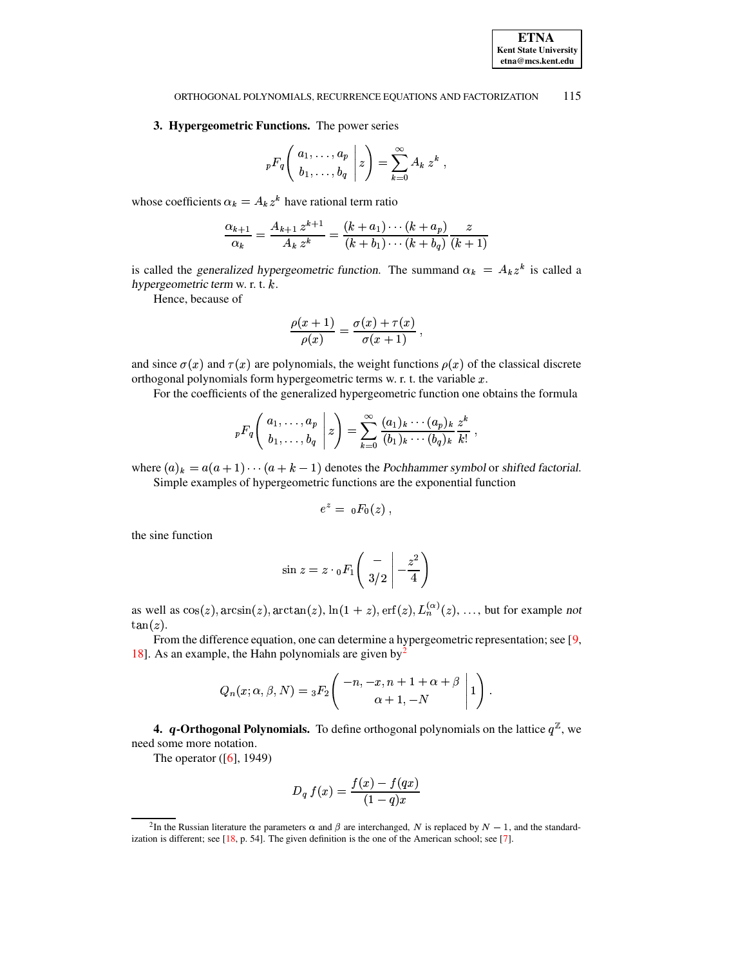#### ORTHOGONAL POLYNOMIALS, RECURRENCE EQUATIONS AND FACTORIZATION 115

## 3. Hypergeometric Functions. The power series

$$
{}_pF_q\left(\begin{array}{c} a_1,\ldots,a_p \\ b_1,\ldots,b_q \end{array}\bigg|z\right)=\sum_{k=0}^\infty A_k\,z^k\;,
$$

whose coefficients  $\alpha_k = A_k z^k$  have rational term ratio

$$
\frac{\alpha_{k+1}}{\alpha_k} = \frac{A_{k+1} z^{k+1}}{A_k z^k} = \frac{(k+a_1) \cdots (k+a_p)}{(k+b_1) \cdots (k+b_q)} \frac{z}{(k+1)}
$$

is called the generalized hypergeometric function. The summand  $\alpha_k = A_k z^k$  is called a hypergeometric term w. r. t.  $k$ .

Hence, because of

$$
\frac{\rho(x+1)}{\rho(x)} = \frac{\sigma(x) + \tau(x)}{\sigma(x+1)},
$$

and since  $\sigma(x)$  and  $\tau(x)$  are polynomials, the weight functions  $\rho(x)$  of the classical discrete orthogonal polynomials form hypergeometric terms w. r. t. the variable  $x$ .

For the coefficients of the generalized hypergeometric function one obtains the formula

$$
{}_{p}F_{q}\left(\begin{array}{c} a_{1},\ldots,a_{p} \\ b_{1},\ldots,b_{q} \end{array} \bigg| z\right) = \sum_{k=0}^{\infty} \frac{(a_{1})_{k}\cdots(a_{p})_{k}}{(b_{1})_{k}\cdots(b_{q})_{k}} \frac{z^{k}}{k!},
$$

where  $(a)_k = a(a + 1) \cdots (a + k - 1)$  denotes the Pochhammer symbol or shifted factorial. Simple examples of hypergeometric functions are the exponential function

$$
e^z = \ _{0}F_{0}(z) \ ,
$$

the sine function

$$
\sin z = z \cdot {}_0F_1\left(\begin{array}{c} -\\3/2 \end{array}\bigg| -\frac{z^2}{4}\right)
$$

as well as  $cos(z)$ ,  $arcsin(z)$ ,  $arctan(z)$ ,  $ln(1 + z)$ ,  $erf(z)$ ,  $L_n^{(\alpha)}(z)$ , ..., but for example not  $tan(z)$ .

From the difference equation, one can determine a hypergeometric representation; see  $[9, 1]$ 18]. As an example, the Hahn polynomials are given by  $y^2$ 

$$
Q_n(x; \alpha, \beta, N) = {}_3F_2 \left( \begin{array}{c} -n, -x, n+1+\alpha+\beta \\ \alpha+1, -N \end{array} \bigg| 1 \right).
$$

4. q-Orthogonal Polynomials. To define orthogonal polynomials on the lattice  $q^{\mathbb{Z}}$ , we need some more notation.

The operator  $([6], 1949)$ 

$$
D_q f(x) = \frac{f(x) - f(qx)}{(1 - q)x}
$$

<span id="page-2-0"></span><sup>&</sup>lt;sup>2</sup>In the Russian literature the parameters  $\alpha$  and  $\beta$  are interchanged, N is replaced by N – 1, and the standardization is different; see  $[18, p. 54]$ . The given definition is the one of the American school; see [7].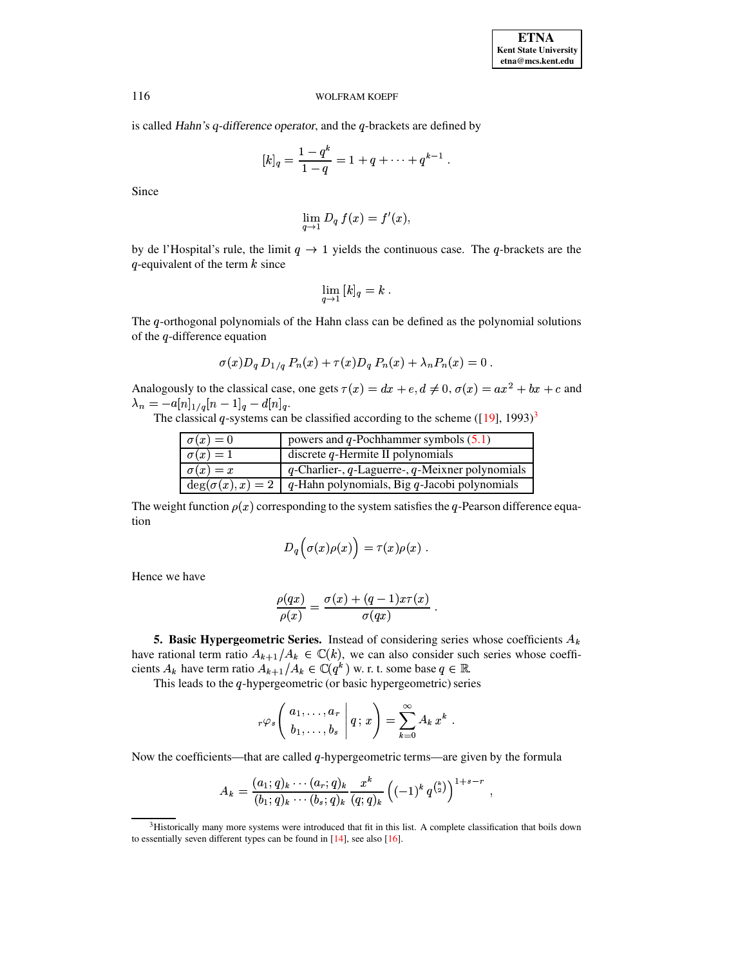is called Hahn's  $q$ -difference operator, and the  $q$ -brackets are defined by

$$
[k]_q = \frac{1-q^k}{1-q} = 1+q+\cdots+q^{k-1}.
$$

Since

$$
\lim_{q \to 1} D_q f(x) = f'(x),
$$

by de l'Hospital's rule, the limit  $q \to 1$  yields the continuous case. The q-brackets are the q-equivalent of the term  $k$  since

$$
\lim_{q \to 1} [k]_q = k.
$$

The q-orthogonal polynomials of the Hahn class can be defined as the polynomial solutions of the  $q$ -difference equation

$$
\sigma(x)D_q D_{1/q} P_n(x) + \tau(x)D_q P_n(x) + \lambda_n P_n(x) = 0
$$

Analogously to the classical case, one gets  $\tau(x) = dx + e, d \neq 0, \sigma(x) = ax^2 + bx + c$  and  $\lambda_n = -a[n]_{1/q}[n-1]_q - d[n]_q.$ 

The classical q-systems can be classified according to the scheme  $(19)$ ,  $1993)^3$ 

| $\sigma(x)=0$ | powers and <i>q</i> -Pochhammer symbols $(5.1)$                        |
|---------------|------------------------------------------------------------------------|
| $\sigma(x)=1$ | discrete $q$ -Hermite II polynomials                                   |
| $\sigma(x)=x$ | $q$ -Charlier-, $q$ -Laguerre-, $q$ -Meixner polynomials               |
|               | $deg(\sigma(x), x) = 2$   q-Hahn polynomials, Big q-Jacobi polynomials |

The weight function  $\rho(x)$  corresponding to the system satisfies the q-Pearson difference equation

$$
D_q\Big(\sigma(x)\rho(x)\Big)=\tau(x)\rho(x)\;.
$$

Hence we have

$$
\frac{\rho(qx)}{\rho(x)} = \frac{\sigma(x) + (q-1)x\tau(x)}{\sigma(qx)}
$$

**5. Basic Hypergeometric Series.** Instead of considering series whose coefficients  $A_k$ have rational term ratio  $A_{k+1}/A_k \in \mathbb{C}(k)$ , we can also consider such series whose coefficients  $A_k$  have term ratio  $A_{k+1}/A_k \in \mathbb{C}(q^k)$  w. r. t. some base  $q \in \mathbb{R}$ .

This leads to the  $q$ -hypergeometric (or basic hypergeometric) series

$$
r\varphi_s\left(\begin{array}{c}a_1,\ldots,a_r\\b_1,\ldots,b_s\end{array}\bigg|\,q\,;\,x\right)=\sum_{k=0}^\infty A_k\,x^k.
$$

Now the coefficients—that are called  $q$ -hypergeometric terms—are given by the formula

$$
A_k = \frac{(a_1;q)_k \cdots (a_r;q)_k}{(b_1;q)_k \cdots (b_s;q)_k} \frac{x^k}{(q;q)_k} ((-1)^k q^{\binom{k}{2}})^{1+s-r} ,
$$

116

<span id="page-3-0"></span><sup>&</sup>lt;sup>3</sup>Historically many more systems were introduced that fit in this list. A complete classification that boils down to essentially seven different types can be found in  $[14]$ , see also  $[16]$ .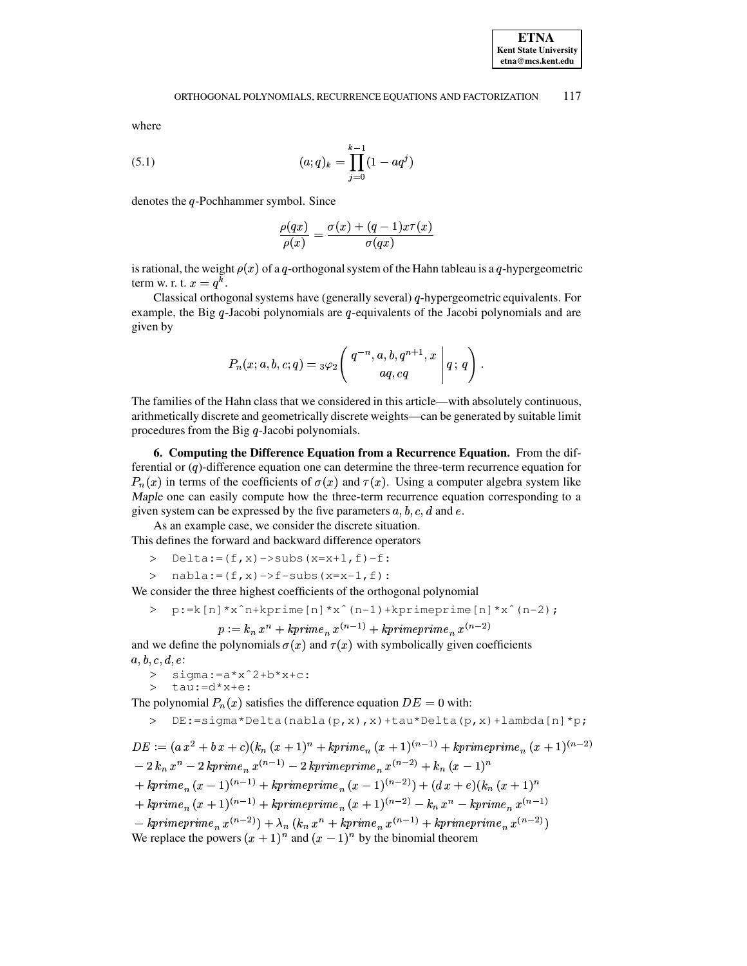#### <span id="page-4-0"></span>ORTHOGONAL POLYNOMIALS, RECURRENCE EQUATIONS AND FACTORIZATION 117

where

(5.1) 
$$
(a;q)_k = \prod_{j=0}^{k-1} (1 - aq^j)
$$

denotes the  $q$ -Pochhammer symbol. Since

$$
\frac{\rho(qx)}{\rho(x)} = \frac{\sigma(x) + (q-1)x\tau(x)}{\sigma(qx)}
$$

is rational, the weight  $\rho(x)$  of a q-orthogonal system of the Hahn tableau is a q-hypergeometric term w. r. t.  $x = q^k$ .

Classical orthogonal systems have (generally several)  $q$ -hypergeometric equivalents. For example, the Big  $q$ -Jacobi polynomials are  $q$ -equivalents of the Jacobi polynomials and are given by

$$
P_n(x;a,b,c;q) = {}_3\varphi_2\left(\left.\begin{matrix}q^{-n},a,b,q^{n+1},x\\aq,cq\end{matrix}\;\right|q\,;\,q\right)\,.
$$

The families of the Hahn class that we considered in this article—with absolutely continuous, arithmetically discrete and geometrically discrete weights—can be generated by suitable limit procedures from the Big  $q$ -Jacobi polynomials.

6. Computing the Difference Equation from a Recurrence Equation. From the differential or  $(q)$ -difference equation one can determine the three-term recurrence equation for  $P_n(x)$  in terms of the coefficients of  $\sigma(x)$  and  $\tau(x)$ . Using a computer algebra system like Maple one can easily compute how the three-term recurrence equation corresponding to a given system can be expressed by the five parameters  $a, b, c, d$  and  $e$ .

As an example case, we consider the discrete situation. This defines the forward and backward difference operators

> Delta:= $(f,x)$  ->subs(x=x+1, f)-f:

>  $nabla:=(f,x) \to f-subs(x=x-1,f)$ :

We consider the three highest coefficients of the orthogonal polynomial

$$
p:=k[n]*x^*n+kprime[n]*x^*(n-1)+kprime[me[1]*x^*(n-2);
$$

$$
p := k_n x^n + k \text{prime}_n x^{(n-1)} + k \text{prime}_n x^{(n-2)}
$$

and we define the polynomials  $\sigma(x)$  and  $\tau(x)$  with symbolically given coefficients  $a, b, c, d, e$ :

- >  $signa:-a*x^2+b*x+c$ :
- >  $tan:=d*x+e$ :

The polynomial  $P_n(x)$  satisfies the difference equation  $DE = 0$  with:

```
> DE:=\text{sigma*Delta(nabla(p,x),x)+tau*Delta(p,x)+lambda(p,x)+lambda(p,t)}
```
 $DE := (ax^2 + b\,x + c)(k_n(x+1)^n + kprime_n(x+1)^{(n-1)} + kprime_n(x+1)^{(n-2)}$  $-2 k_n x^n - 2 kprime_n x^{(n-1)} - 2 kprime_j x^{(n-2)} + k_n (x-1)^n$ + kprime<sub>n</sub> $(x - 1)^{(n-1)}$  + kprimeprime<sub>n</sub> $(x - 1)^{(n-2)}$  +  $(dx + e)(k_n (x + 1)^n)$ +  $kprime_n(x+1)^{(n-1)}$  +  $kprime_n(x+1)^{(n-2)}$  -  $k_n x^n$  -  $kprime_n x^{(n-1)}$  $-\ kprime n^{m} = n^{(n-2)} + \lambda_n (k_n x^n + k \text{prime}_n x^{(n-1)} + k \text{prime}_n x^{(n-2)})$ We replace the powers  $(x + 1)^n$  and  $(x - 1)^n$  by the binomial theorem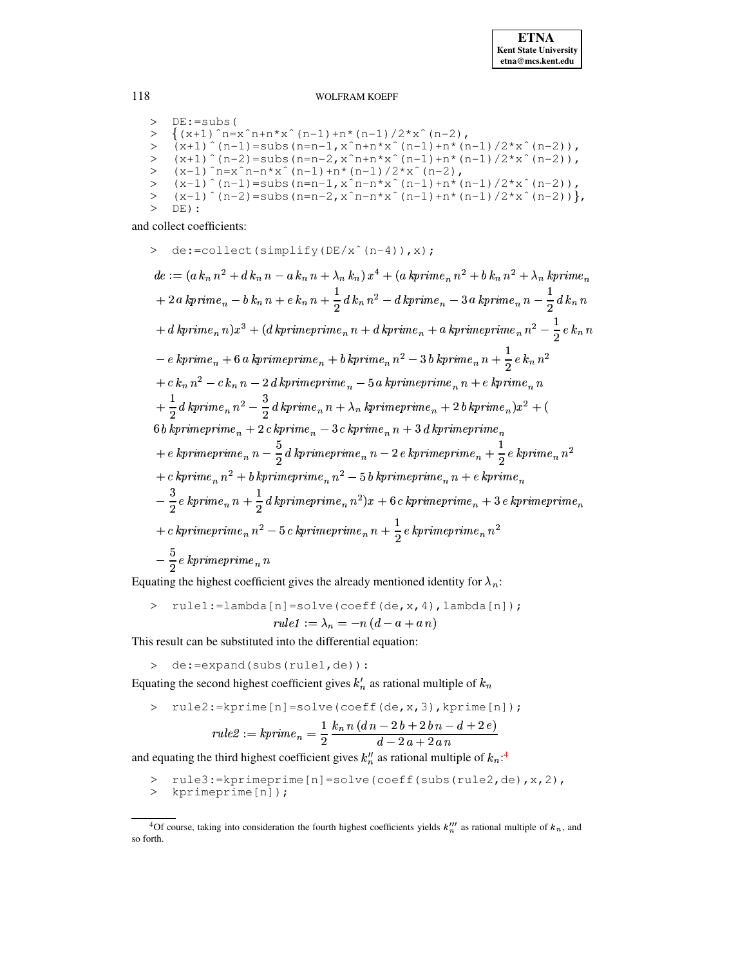```
> DE:=subs(
      \{(x+1)^n - x^n + n*x^n(n-1) + n*(n-1)/2*x^n(n-2)\}\{(x+1) n=x \in n+n*x \in (n-1)+n \in (n-1)/2 \in \mathbb{Z} \} (n -1) n \in (n-1) = subs (n=n-1, x \in n+n*x \in (n-1)+n*(n-1)/2*x \in (n-2)),
> (x+1)^{n+1} (n-2) = x^2 (n+1)^{n+1} (n-1) + n^2 (n-1) + n^3 (n-1) / 2^2 x^2 (n-2)<br>
> (x-1)^{n} = x^2 n - n^2 x^2 (n-1) + n^2 (n-1) / 2^2 x^2 (n-2)(x-1) (n-1) = subs (n=n-1, x^n-n*x^2(n-1)+n*(n-1)/2*x^2(n-2)),<br>(x-1) (n-2) = subs (n=n-2, x^2-n-n*x^2(n-1)+n*(n-1)/2*x^2(n-2)),\simDE) :
```
and collect coefficients:

 $\geq$  de:=collect(simplify(DE/x<sup>^</sup>(n-4)), x);  $de := (a k_n n^2 + d k_n n - a k_n n + \lambda_n k_n) x^4 + (a kprime_n n^2 + b k_n n^2 + \lambda_n kprime_n)$  $+ 2 \ a \ kprime = n - b \ k_{n} \ n + e \ k_{n} \ n + \frac{1}{2} \ d \ k_{n} \ n^{2} - d \ kprime = n - 3 \ a \ kprime = n - \frac{1}{2} \ d \ k_{n} \ n$  $a + d$  kprime<sub>n</sub> n)  $x^3 + (d$  kprimeprime<sub>n</sub>  $n + d$  kprime<sub>n</sub> + a kprimeprime<sub>n</sub>  $n^2 - \frac{1}{2}e k_n n$  $k = e$  kprime<sub>n</sub> + 6 a kprimeprime<sub>n</sub> + b kprime<sub>n</sub> n<sup>2</sup> - 3 b kprime<sub>n</sub> n +  $\frac{1}{2}e$  k<sub>n</sub> n<sup>2</sup>  $+ c k_n n^2 - c k_n n - 2 d kprimeime prime_n - 5 a kprimeprime_n n + e kprime_n n$  $+\frac{1}{2}d\,kprime_n\,n^2-\frac{3}{2}\,d\,kprime_n\,n+\lambda_n\,kprime_n\,m=\,n+2\,b\,kprime_n\,x^2+\left(\frac{1}{2}\right)$  $6 b kprime prime prime_n + 2 c kprime_n - 3 c kprime_n n + 3 d kprime prime prime_n$  $a_1 + e$  kprimeprime<sub>n</sub>  $n - \frac{5}{2}$ d kprimeprime<sub>n</sub>  $n - 2e$  kprimeprime<sub>n</sub>  $a + \frac{1}{2}e$  kprime<sub>n</sub>  $n^2$  $+ \; c \; kprime_n \, n^2 + b \; kprime n \; e_n \, n^2 - 5 \; b \; kprime n \; e_n \, n + e \; kprime_n$  $-\frac{3}{2}e\ kprime nime_n\ n+\frac{1}{2}d\ kprime nimeprime_n\ n^2)x+6\ c\ kprime nimeprime_n+3\ e\ kprime nimeprime_n$ + c kprimeprime<sub>n</sub>  $n^2-5$  c kprimeprime<sub>n</sub>  $n+\frac{1}{2}$  e kprimeprime<sub>n</sub>  $n^2$  $-\frac{5}{2}$ e kprimeprime<sub>n</sub> n

Equating the highest coefficient gives the already mentioned identity for  $\lambda_n$ :

> rule1:=lambda[n]=solve(coeff(de,x,4),lambda[n]);  
\nrule1:= 
$$
\lambda_n = -n(d-a + an)
$$

This result can be substituted into the differential equation:

> de:=expand(subs(rule1,de)):

Equating the second highest coefficient gives  $k'_n$  as rational multiple of  $k_n$ 

$$
\text{rule2:=kprime[n]=solve (coeff (de, x, 3), kprime[n]);}
$$
\n
$$
rule2 := kprime_n = \frac{1}{2} \frac{k_n n (dn - 2b + 2bn - d + 2e)}{d - 2a + 2an}
$$

and equating the third highest coefficient gives  $k_n^{\prime\prime}$  as rational multiple of  $k_n$ .<sup>4</sup>

- rule3:=kprimeprime[n]=solve(coeff(subs(rule2,de),x,2),
- > kprimeprime[n]);

118

<span id="page-5-0"></span><sup>&</sup>lt;sup>4</sup>Of course, taking into consideration the fourth highest coefficients yields  $k_n^{\prime\prime\prime}$  as rational multiple of  $k_n$ , and so forth.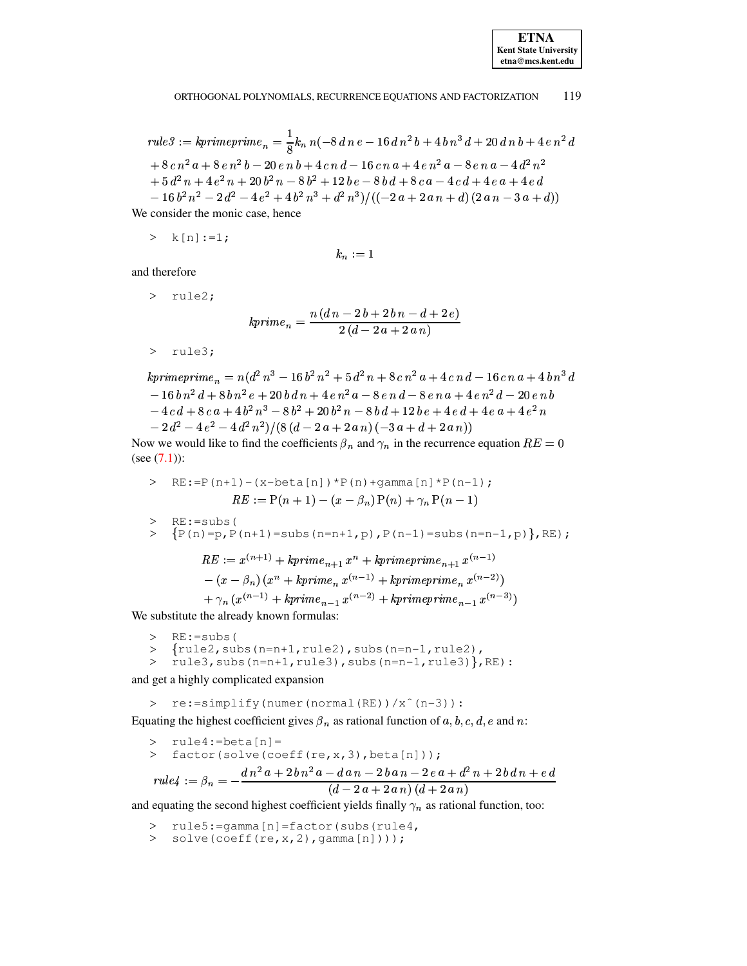**ETNA Kent State University**  $etna@mcs. kent.edu$ 

#### 119 ORTHOGONAL POLYNOMIALS, RECURRENCE EQUATIONS AND FACTORIZATION

rule3 := kprime
$$
rule3 := kprime2 men = \frac{1}{8}kn n(-8 dn e - 16 dn2 b + 4 bn3 d + 20 dn b + 4 e n2 d
$$
  
+ 8 cn<sup>2</sup> a + 8 e n<sup>2</sup> b - 20 e n b + 4 c n d - 16 c n a + 4 e n<sup>2</sup> a - 8 e n a - 4 d<sup>2</sup> n<sup>2</sup>  
+ 5 d<sup>2</sup> n + 4 e<sup>2</sup> n + 20 b<sup>2</sup> n - 8 b<sup>2</sup> + 12 b e - 8 b d + 8 c a - 4 c d + 4 e a + 4 e d  
- 16 b<sup>2</sup> n<sup>2</sup> - 2 d<sup>2</sup> - 4 e<sup>2</sup> + 4 b<sup>2</sup> n<sup>3</sup> + d<sup>2</sup> n<sup>3</sup>)/((-2 a + 2 a n + d) (2 a n - 3 a + d))

We consider the monic case, hence

$$
>\quad k[n]:=1;
$$

$$
k_n:=1
$$

and therefore

> rule2;

$$
kprime_n = \frac{n(dn - 2b + 2bn - d + 2e)}{2(d - 2a + 2an)}
$$

> rule3;

$$
kprime_n = n(d^2 n^3 - 16 b^2 n^2 + 5 d^2 n + 8 c n^2 a + 4 c n d - 16 c n a + 4 b n^3 d
$$
  
\n
$$
- 16 b n^2 d + 8 b n^2 e + 20 b d n + 4 e n^2 a - 8 e n d - 8 e n a + 4 e n^2 d - 20 e n b
$$
  
\n
$$
- 4 c d + 8 c a + 4 b^2 n^3 - 8 b^2 + 20 b^2 n - 8 b d + 12 b e + 4 e d + 4 e a + 4 e^2 n
$$
  
\n
$$
- 2 d^2 - 4 e^2 - 4 d^2 n^2) / (8 (d - 2 a + 2 a n) (-3 a + d + 2 a n))
$$

Now we would like to find the coefficients  $\beta_n$  and  $\gamma_n$  in the recurrence equation  $RE = 0$ (see  $(7.1)$ ):

 $-(x - \beta_n)(x^n + kprime_n x^{(n-1)} + kprime_n x^{(n-2)})$ 

+  $\gamma_n (x^{(n-1)} + k \text{prime}_{n-1} x^{(n-2)} + k \text{prime}_{n-1} x^{(n-3)})$ We substitute the already known formulas:

- $> RE: = subs($
- 
- > {rule2, subs(n=n+1, rule2), subs(n=n-1, rule2),<br>> rule3, subs(n=n+1, rule3), subs(n=n-1, rule3)}, RE):

and get a highly complicated expansion

> re:=simplify(numer(normal(RE))/x^(n-3)):

Equating the highest coefficient gives  $\beta_n$  as rational function of a, b, c, d, e and n:

> rule4:=beta[n]=  
\n factor (solve (coeff (re, x, 3), beta[n]));  
\n rule4 := 
$$
\beta_n = -\frac{dn^2a + 2bn^2a - dan - 2ban - 2ea + d^2n + 2bdn + ed}{(d - 2a + 2an)(d + 2an)}
$$

and equating the second highest coefficient yields finally  $\gamma_n$  as rational function, too:

- > rule5: = gamma [n] = factor (subs (rule4,
- > solve(coeff(re, x, 2), gamma $[n]$ )));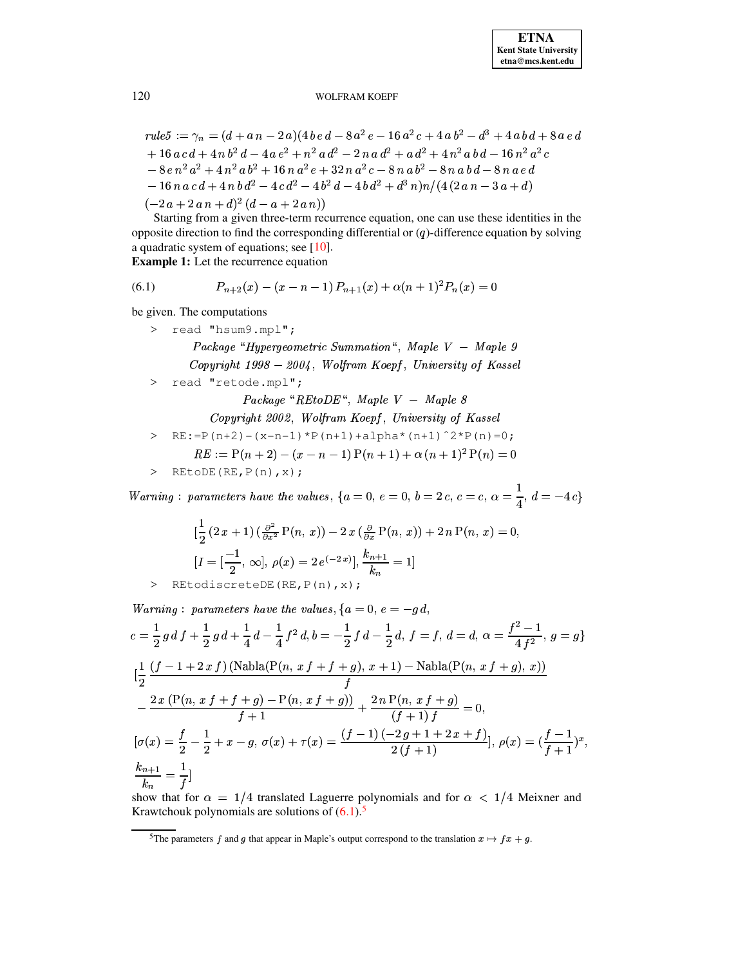$$
rule 5 := \gamma_n = (d + an - 2a)(4be\,d - 8a^2e - 16a^2c + 4ab^2 - d^3 + 4abd + 8a\,e\,d
$$
  
+ 16 ac\,d + 4n\,b^2\,d - 4a\,e^2 + n^2\,a\,d^2 - 2n\,a\,d^2 + a\,d^2 + 4n^2\,a\,b\,d - 16n^2\,a^2\,c  
- 8e\,n^2\,a^2 + 4n^2\,a\,b^2 + 16n\,a^2\,e + 32\,n\,a^2\,c - 8n\,a\,b^2 - 8n\,a\,b\,d - 8n\,a\,e\,d  
- 16n\,a\,c\,d + 4n\,b\,d^2 - 4c\,d^2 - 4b^2\,d - 4b\,d^2 + d^3\,n)n/(4(2\,a\,n - 3a + d)  
(-2\,a + 2\,a\,n + d)^2\,(d - a + 2\,a\,n))

Starting from a given three-term recurrence equation, one can use these identities in the opposite direction to find the corresponding differential or  $(q)$ -difference equation by solving a quadratic system of equations; see  $[10]$ .

**Example 1:** Let the recurrence equation

<span id="page-7-0"></span>(6.1) 
$$
P_{n+2}(x) - (x - n - 1) P_{n+1}(x) + \alpha (n+1)^2 P_n(x) = 0
$$

be given. The computations

- > read "hsum9.mpl"; Package "Hypergeometric Summation", Maple V - Maple 9 Copyright  $1998 - 2004$ , Wolfram Koepf, University of Kassel
- > read "retode.mpl";

Package "REtoDE", Maple  $V$  - Maple 8

Copyright 2002, Wolfram Koepf, University of Kassel

> RE:=P(n+2)-(x-n-1)\*P(n+1)+alpha\*(n+1)^2\*P(n)=0;

$$
RE := P(n + 2) - (x - n - 1) P(n + 1) + \alpha (n + 1)^{2} P(n) = 0
$$

> REtoDE(RE,  $P(n)$ , x);

 $Warning: \; parameters \; have \; the \; values, \; \{a=0, \; e=0, \; b=2 \; c, \; c=c, \; \alpha=\frac{1}{4}, \; d=-4 \, c\}$ 

$$
\left[\frac{1}{2}\left(2x+1\right)\left(\frac{\partial^2}{\partial x^2}P(n, x)\right) - 2x\left(\frac{\partial}{\partial x}P(n, x)\right) + 2n P(n, x) = 0\right]
$$
  

$$
\left[I = \left[\frac{-1}{2}, \infty\right], \rho(x) = 2e^{-2x}\right], \frac{k_{n+1}}{k_n} = 1
$$

> REtodiscreteDE(RE, P(n), x);

Warning: parameters have the values, 
$$
\{a = 0, e = -g d,
$$
  
\n
$$
c = \frac{1}{2} g df + \frac{1}{2} g d + \frac{1}{4} d - \frac{1}{4} f^2 d, b = -\frac{1}{2} f d - \frac{1}{2} d, f = f, d = d, \alpha = \frac{f^2 - 1}{4 f^2}, g = g\}
$$
\n
$$
[\frac{1}{2} \frac{(f - 1 + 2 x f) (\text{Nabla}(P(n, x f + f + g), x + 1) - \text{Nabla}(P(n, x f + g), x))}{f}
$$
\n
$$
-\frac{2 x (P(n, x f + f + g) - P(n, x f + g))}{f + 1} + \frac{2 n P(n, x f + g)}{(f + 1) f} = 0,
$$
\n
$$
[\sigma(x) = \frac{f}{2} - \frac{1}{2} + x - g, \sigma(x) + \tau(x) = \frac{(f - 1)(-2g + 1 + 2x + f)}{2(f + 1)}, \rho(x) = (\frac{f - 1}{f + 1})^x,
$$
\n
$$
\frac{k_{n+1}}{k_n} = \frac{1}{f}]
$$

show that for  $\alpha = 1/4$  translated Laguerre polynomials and for  $\alpha < 1/4$  Meixner and Krawtchouk polynomials are solutions of  $(6.1)$ .<sup>5</sup>

120

<span id="page-7-1"></span><sup>&</sup>lt;sup>5</sup>The parameters f and g that appear in Maple's output correspond to the translation  $x \mapsto fx + g$ .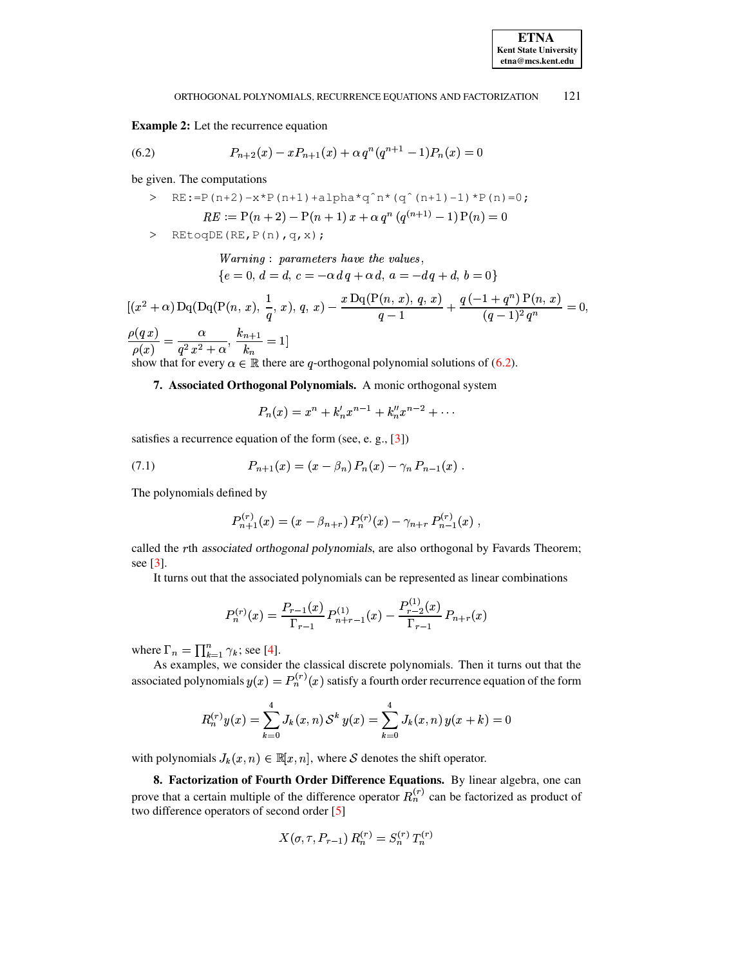## **Example 2:** Let the recurrence equation

<span id="page-8-1"></span>(6.2) 
$$
P_{n+2}(x) - xP_{n+1}(x) + \alpha q^n (q^{n+1} - 1)P_n(x) = 0
$$

be given. The computations

> REtoqDE(RE,  $P(n)$ ,  $q$ ,  $x$ );

Warning : parameters have the values,  ${e = 0, d = d, c = -\alpha dq + \alpha d, a = -dq + d, b = 0}$ 

$$
[(x^{2} + \alpha) Dq(Dq(P(n, x), \frac{1}{q}, x), q, x) - \frac{x Dq(P(n, x), q, x)}{q-1} + \frac{q(-1+q^{n}) P(n, x)}{(q-1)^{2} q^{n}} = 0,
$$
  

$$
\frac{\rho(q x)}{q} - \frac{\alpha}{q} - \frac{k_{n+1}}{q-1}
$$

 $\frac{\overline{P(x)}}{\rho(x)} = \frac{q^2 x^2 + \alpha}{q^2 x^2 + \alpha}, \frac{\overline{k_n}}{k_n} = 1$ <br>show that for every  $\alpha \in \mathbb{R}$  there are q-orthogonal polynomial solutions of (6.2).

# 7. Associated Orthogonal Polynomials. A monic orthogonal system

$$
P_n(x) = x^n + k'_n x^{n-1} + k''_n x^{n-2} + \cdots
$$

satisfies a recurrence equation of the form (see, e. g.,  $[3]$ )

<span id="page-8-0"></span>(7.1) 
$$
P_{n+1}(x) = (x - \beta_n) P_n(x) - \gamma_n P_{n-1}(x).
$$

The polynomials defined by

$$
P_{n+1}^{(r)}(x) = (x - \beta_{n+r}) P_n^{(r)}(x) - \gamma_{n+r} P_{n-1}^{(r)}(x)
$$

called the rth associated orthogonal polynomials, are also orthogonal by Favards Theorem; see  $[3]$ .

It turns out that the associated polynomials can be represented as linear combinations

$$
P_n^{(r)}(x) = \frac{P_{r-1}(x)}{\Gamma_{r-1}} P_{n+r-1}^{(1)}(x) - \frac{P_{r-2}^{(1)}(x)}{\Gamma_{r-1}} P_{n+r}(x)
$$

where  $\Gamma_n = \prod_{k=1}^n \gamma_k$ ; see [4].

As examples, we consider the classical discrete polynomials. Then it turns out that the associated polynomials  $y(x) = P_n^{(r)}(x)$  satisfy a fourth order recurrence equation of the form

$$
R_n^{(r)}y(x) = \sum_{k=0}^4 J_k(x, n) S^k y(x) = \sum_{k=0}^4 J_k(x, n) y(x + k) = 0
$$

with polynomials  $J_k(x, n) \in \mathbb{R}[x, n]$ , where S denotes the shift operator.

8. Factorization of Fourth Order Difference Equations. By linear algebra, one can prove that a certain multiple of the difference operator  $R_n^{(r)}$  can be factorized as product of two difference operators of second order [5]

$$
X(\sigma, \tau, P_{r-1}) R_n^{(r)} = S_n^{(r)} T_n^{(r)}
$$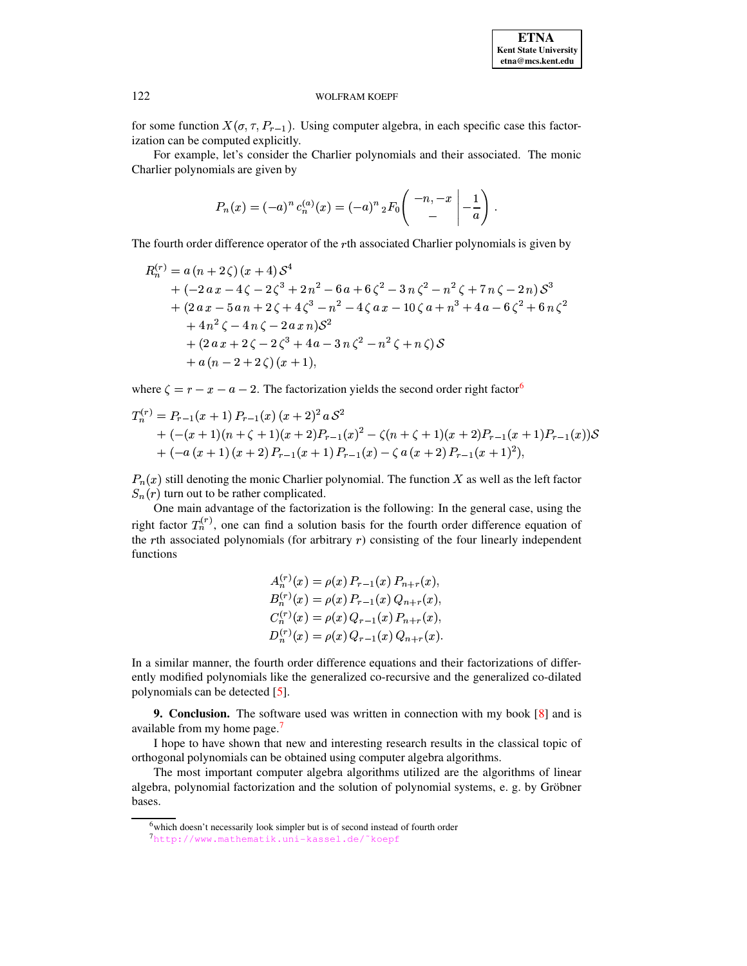for some function  $X(\sigma, \tau, P_{r-1})$ . Using computer algebra, in each specific case this factorization can be computed explicitly.

For example, let's consider the Charlier polynomials and their associated. The monic Charlier polynomials are given by

$$
P_n(x) = (-a)^n c_n^{(a)}(x) = (-a)^n {}_2F_0\left(\begin{array}{c} -n, -x \\ -\end{array}\bigg| -\frac{1}{a}\right)
$$

The fourth order difference operator of the rth associated Charlier polynomials is given by

$$
R_n^{(r)} = a (n + 2 \zeta) (x + 4) S^4
$$
  
+ (-2 a x - 4 \zeta - 2 \zeta^3 + 2 n^2 - 6 a + 6 \zeta^2 - 3 n \zeta^2 - n^2 \zeta + 7 n \zeta - 2 n) S^3  
+ (2 a x - 5 a n + 2 \zeta + 4 \zeta^3 - n^2 - 4 \zeta a x - 10 \zeta a + n^3 + 4 a - 6 \zeta^2 + 6 n \zeta^2  
+ 4 n^2 \zeta - 4 n \zeta - 2 a x n) S^2  
+ (2 a x + 2 \zeta - 2 \zeta^3 + 4 a - 3 n \zeta^2 - n^2 \zeta + n \zeta) S  
+ a (n - 2 + 2 \zeta) (x + 1),

where  $\zeta = r - x - a - 2$ . The factorization yields the second order right factor<sup>6</sup>

$$
T_n^{(r)} = P_{r-1}(x+1) P_{r-1}(x) (x+2)^2 a S^2
$$
  
+  $(-(x+1)(n+\zeta+1)(x+2)P_{r-1}(x)^2 - \zeta(n+\zeta+1)(x+2)P_{r-1}(x+1)P_{r-1}(x))S$   
+  $(-a(x+1)(x+2)P_{r-1}(x+1)P_{r-1}(x) - \zeta a (x+2)P_{r-1}(x+1)^2),$ 

 $P_n(x)$  still denoting the monic Charlier polynomial. The function X as well as the left factor  $S_n(r)$  turn out to be rather complicated.

One main advantage of the factorization is the following: In the general case, using the right factor  $T_n^{(r)}$ , one can find a solution basis for the fourth order difference equation of the  $r$ th associated polynomials (for arbitrary  $r$ ) consisting of the four linearly independent functions

$$
A_n^{(r)}(x) = \rho(x) P_{r-1}(x) P_{n+r}(x),
$$
  
\n
$$
B_n^{(r)}(x) = \rho(x) P_{r-1}(x) Q_{n+r}(x),
$$
  
\n
$$
C_n^{(r)}(x) = \rho(x) Q_{r-1}(x) P_{n+r}(x),
$$
  
\n
$$
D_n^{(r)}(x) = \rho(x) Q_{r-1}(x) Q_{n+r}(x).
$$

In a similar manner, the fourth order difference equations and their factorizations of differently modified polynomials like the generalized co-recursive and the generalized co-dilated polynomials can be detected [5].

**9. Conclusion.** The software used was written in connection with my book  $\lceil 8 \rceil$  and is available from my home page.<sup>7</sup>

I hope to have shown that new and interesting research results in the classical topic of orthogonal polynomials can be obtained using computer algebra algorithms.

The most important computer algebra algorithms utilized are the algorithms of linear algebra, polynomial factorization and the solution of polynomial systems, e. g. by Gröbner bases.

 $\lambda$ 

<span id="page-9-0"></span><sup>&</sup>lt;sup>6</sup>which doesn't necessarily look simpler but is of second instead of fourth order

<span id="page-9-1"></span><sup>7</sup>http://www.mathematik.uni-kassel.de/~koepf